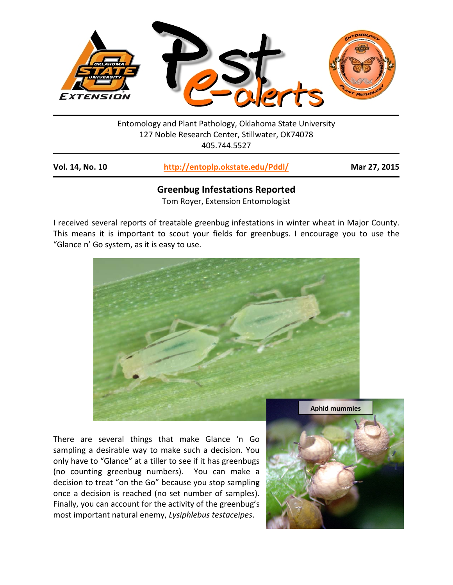

Entomology and Plant Pathology, Oklahoma State University 127 Noble Research Center, Stillwater, OK74078 405.744.5527

| <b>Vol. 14, No. 10</b> | http://entoplp.okstate.edu/Pddl/ | Mar 27, 2015 |
|------------------------|----------------------------------|--------------|
|------------------------|----------------------------------|--------------|

## **Greenbug Infestations Reported**

Tom Royer, Extension Entomologist

I received several reports of treatable greenbug infestations in winter wheat in Major County. This means it is important to scout your fields for greenbugs. I encourage you to use the "Glance n' Go system, as it is easy to use.



There are several things that make Glance 'n Go sampling a desirable way to make such a decision. You only have to "Glance" at a tiller to see if it has greenbugs (no counting greenbug numbers). You can make a decision to treat "on the Go" because you stop sampling once a decision is reached (no set number of samples). Finally, you can account for the activity of the greenbug's most important natural enemy, *Lysiphlebus testaceipes*.

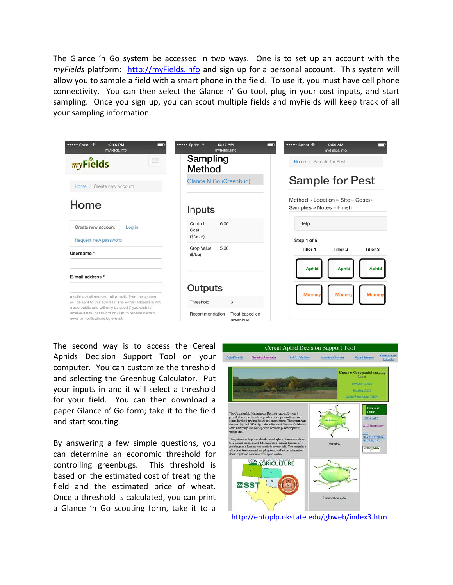The Glance 'n Go system be accessed in two ways. One is to set up an account with the *myFields* platform: [http://myFields.info](http://myfields.info/) and sign up for a personal account. This system will allow you to sample a field with a smart phone in the field. To use it, you must have cell phone connectivity. You can then select the Glance n' Go tool, plug in your cost inputs, and start sampling. Once you sign up, you can scout multiple fields and myFields will keep track of all your sampling information.

| ••••• Sprint →<br>12:56 PM<br>myfields.info                                                                                                                                                          | ••••• Sprint 〒<br>10:47 AM<br>myfields.info                    | ••••○ Sprint 令<br>9:50 AM<br>myfields.info                            |
|------------------------------------------------------------------------------------------------------------------------------------------------------------------------------------------------------|----------------------------------------------------------------|-----------------------------------------------------------------------|
| $\equiv$<br>$my$ Fields                                                                                                                                                                              | Sampling<br>Method                                             | Home / Sample for Pest                                                |
| Home / Create new account                                                                                                                                                                            | Glance N Go (Greenbug)                                         | <b>Sample for Pest</b>                                                |
| Home                                                                                                                                                                                                 | Inputs                                                         | Method » Location » Site » Costs »<br><b>Samples</b> » Notes » Finish |
| Create new account<br>Log in<br>Request new password                                                                                                                                                 | 6.00<br>Control<br>Cost<br>( <i>\$</i> /acre)                  | Help<br>Stop 1 of 5                                                   |
| Username *                                                                                                                                                                                           | 5.00<br>Crop Value<br>(S/bu)                                   | Tiller 1<br>Tiller <sub>3</sub><br>Tiller <sub>2</sub>                |
| E-mail address *                                                                                                                                                                                     |                                                                | <b>Aphid</b><br><b>Aphid</b><br><b>Aphid</b>                          |
| A valid e-mail address. All e-mails from the system                                                                                                                                                  | Outputs                                                        | <b>Mummy</b><br><b>Mummy</b><br><b>Mummy</b>                          |
| will be sent to this address. The e-mail address is not<br>made public and will only be used if you wish to<br>receive a new password or wish to receive certain<br>news or notifications by e-mail. | 3<br>Threshold<br>Recommendation<br>Treat based on<br>areenbug |                                                                       |

The second way is to access the Cereal Aphids Decision Support Tool on your computer. You can customize the threshold and selecting the Greenbug Calculator. Put your inputs in and it will select a threshold for your field. You can then download a paper Glance n' Go form; take it to the field and start scouting.

By answering a few simple questions, you can determine an economic threshold for controlling greenbugs. This threshold is based on the estimated cost of treating the field and the estimated price of wheat. Once a threshold is calculated, you can print a Glance 'n Go scouting form, take it to a



<http://entoplp.okstate.edu/gbweb/index3.htm>